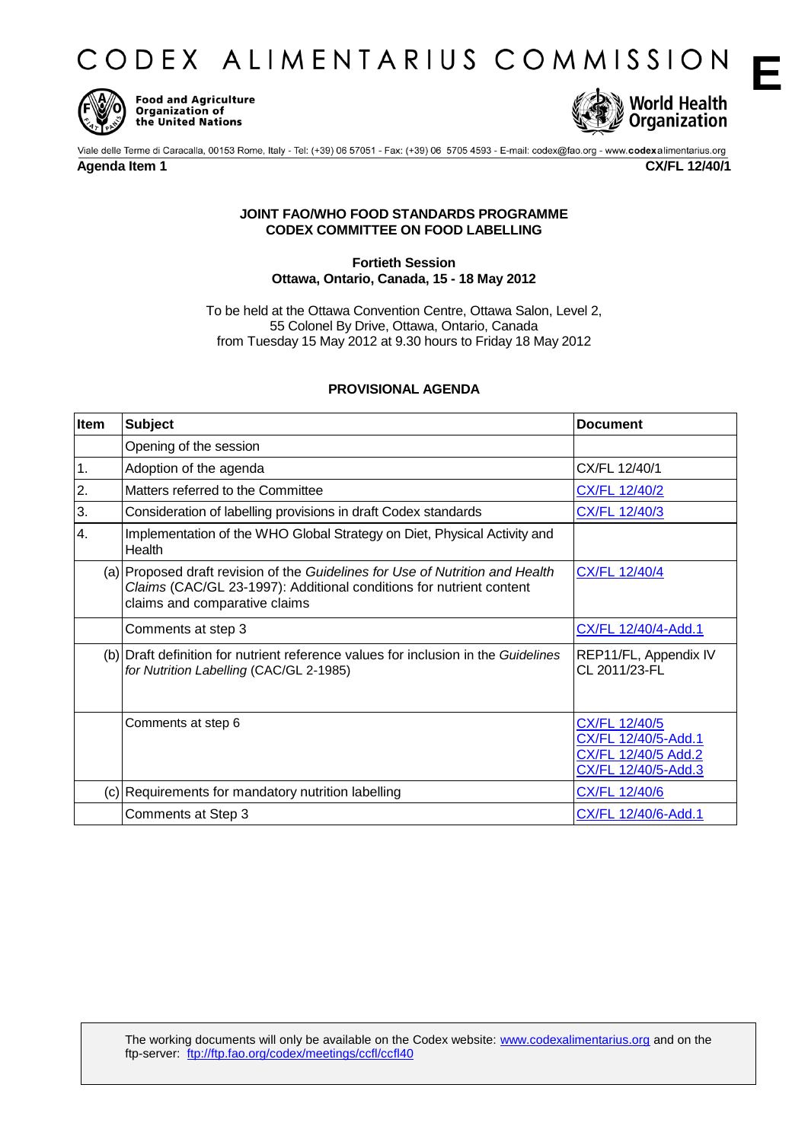CODEX ALIMENTARIUS COMMISSION



**Food and Agriculture Organization of** the United Nations



## **Agenda Item 1 CX/FL 12/40/1**

**E**

## **JOINT FAO/WHO FOOD STANDARDS PROGRAMME CODEX COMMITTEE ON FOOD LABELLING**

## **Fortieth Session Ottawa, Ontario, Canada, 15 - 18 May 2012**

To be held at the Ottawa Convention Centre, Ottawa Salon, Level 2, 55 Colonel By Drive, Ottawa, Ontario, Canada from Tuesday 15 May 2012 at 9.30 hours to Friday 18 May 2012

## **PROVISIONAL AGENDA**

| Item | <b>Subject</b>                                                                                                                                                                        | <b>Document</b>                                                                    |
|------|---------------------------------------------------------------------------------------------------------------------------------------------------------------------------------------|------------------------------------------------------------------------------------|
|      | Opening of the session                                                                                                                                                                |                                                                                    |
| 1.   | Adoption of the agenda                                                                                                                                                                | CX/FL 12/40/1                                                                      |
| 2.   | Matters referred to the Committee                                                                                                                                                     | CX/FL 12/40/2                                                                      |
| 3.   | Consideration of labelling provisions in draft Codex standards                                                                                                                        | CX/FL 12/40/3                                                                      |
| 4.   | Implementation of the WHO Global Strategy on Diet, Physical Activity and<br>Health                                                                                                    |                                                                                    |
|      | (a) Proposed draft revision of the Guidelines for Use of Nutrition and Health<br>Claims (CAC/GL 23-1997): Additional conditions for nutrient content<br>claims and comparative claims | <b>CX/FL 12/40/4</b>                                                               |
|      | Comments at step 3                                                                                                                                                                    | CX/FL 12/40/4-Add.1                                                                |
|      | (b) Draft definition for nutrient reference values for inclusion in the Guidelines<br>for Nutrition Labelling (CAC/GL 2-1985)                                                         | REP11/FL, Appendix IV<br>CL 2011/23-FL                                             |
|      | Comments at step 6                                                                                                                                                                    | CX/FL 12/40/5<br>CX/FL 12/40/5-Add.1<br>CX/FL 12/40/5 Add.2<br>CX/FL 12/40/5-Add.3 |
|      | (c) Requirements for mandatory nutrition labelling                                                                                                                                    | CX/FL 12/40/6                                                                      |
|      | Comments at Step 3                                                                                                                                                                    | CX/FL 12/40/6-Add.1                                                                |

The working documents will only be available on the Codex website: www.codexalimentarius.org and on the ftp-server: ftp://ftp.fao.org/codex/meetings/ccfl/ccfl40